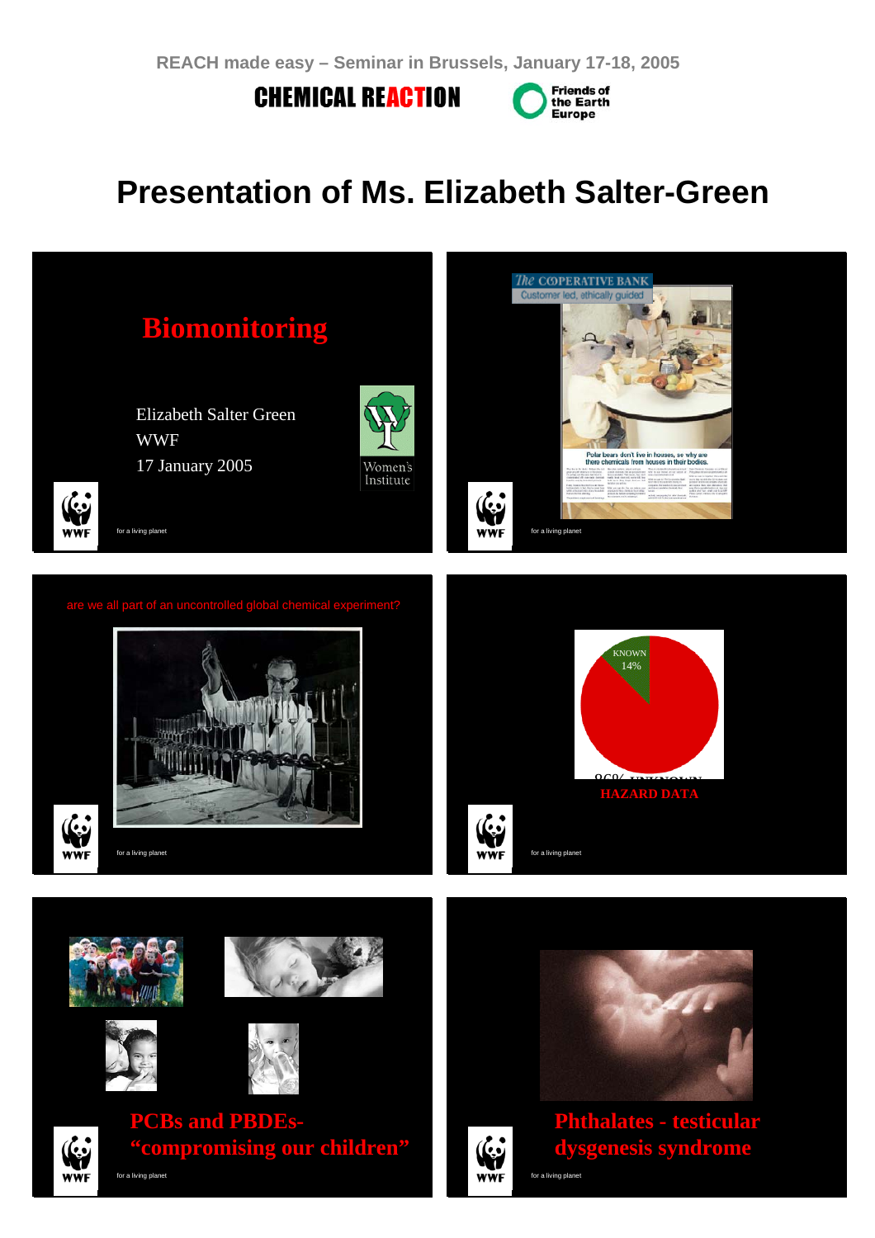**CHEMICAL REACTION** 



# **Presentation of Ms. Elizabeth Salter-Green**

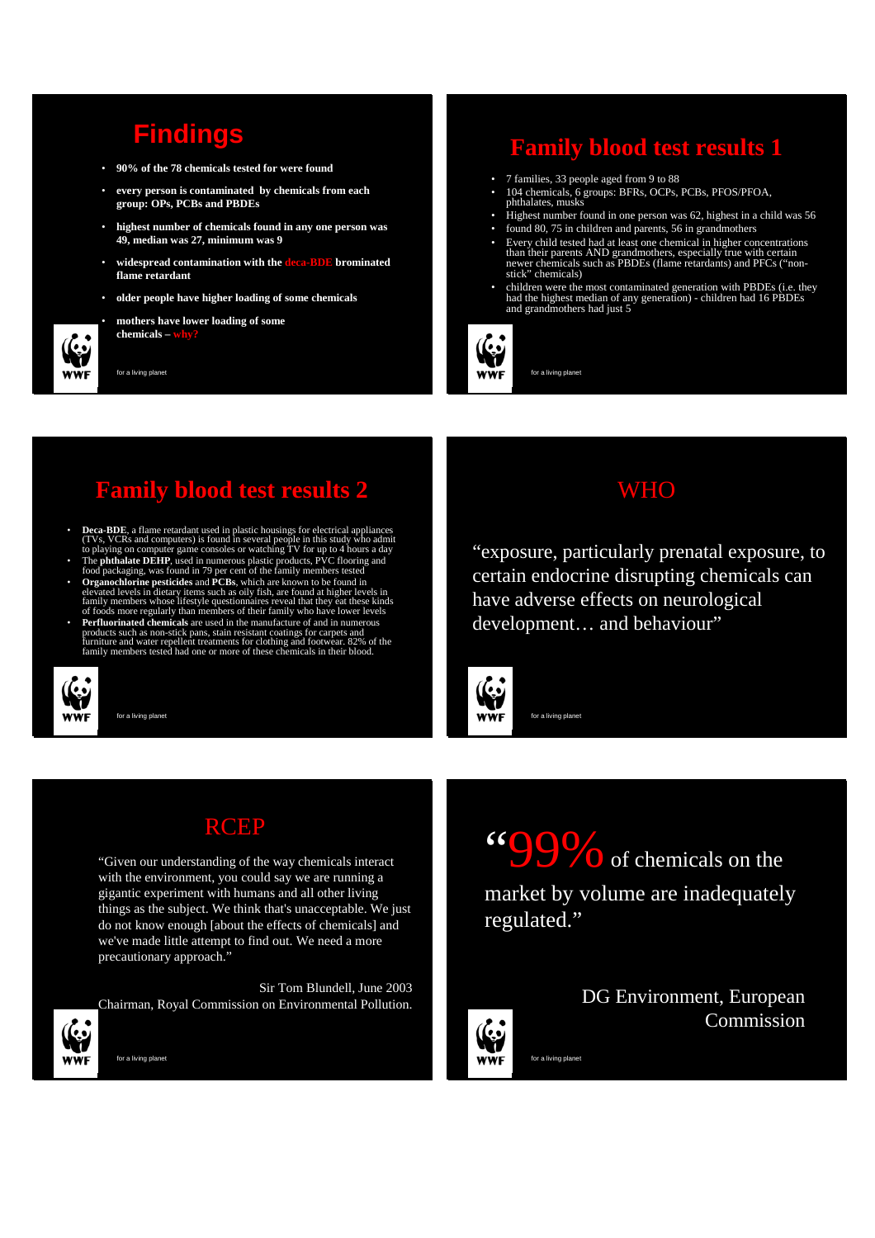## **Findings**

- **90% of the 78 chemicals tested for were found**
- **every person is contaminated by chemicals from each group: OPs, PCBs and PBDEs**
- **highest number of chemicals found in any one person was 49, median was 27, minimum was 9**
- **widespread contamination with the deca-BDE brominated flame retardant**
- **older people have higher loading of some chemicals**
- **mothers have lower loading of some chemicals – why?**

for a living planet

## **Family blood test results 1**

- 7 families, 33 people aged from 9 to 88
- 104 chemicals, 6 groups: BFRs, OCPs, PCBs, PFOS/PFOA, phthalates, musks
- Highest number found in one person was 62, highest in a child was 56
- found 80, 75 in children and parents, 56 in grandmothers
- Every child tested had at least one chemical in higher concentrations than their parents AND grandmothers, especially true with certain newer chemicals such as PBDEs (flame retardants) and PFCs ("nonstick" chemicals)
- children were the most contaminated generation with PBDEs (i.e. they had the highest median of any generation) children had 16 PBDEs and grandmothers had just 5



for a living planet

#### **Family blood test results 2**

- Deca-BDE, a flame retardant used in plastic housings for electrical appliances (TVs, VCRs and computers) is found in several people in this study who admit to playing on computer game consoles or watching TV for up to 4
- The **phthalate DEHP**, used in numerous plastic products, PVC flooring and food packaging, was found in 79 per cent of the family members tested • **Organochlorine pesticides** and **PCBs**, which are known to be found in
- elevated levels in dietary items such as oily fish, are found at higher levels in<br>family members whose lifestyle questionnaires reveal that they eat these kinds<br>of foods more regularly than members of their family who have • **Perfluorinated chemicals** are used in the manufacture of and in numerous
- products such as non-stick pans, stain resistant coatings for carpets and<br>furniture and water repellent treatments for clothing and footwear. 82% of the<br>family members tested had one or more of these chemicals in their blo



for a living planet

#### **WHO**

"exposure, particularly prenatal exposure, to certain endocrine disrupting chemicals can have adverse effects on neurological development… and behaviour"

""99% of chemicals on the

market by volume are inadequately



**RCEP** 

"Given our understanding of the way chemicals interact with the environment, you could say we are running a gigantic experiment with humans and all other living things as the subject. We think that's unacceptable. We just do not know enough [about the effects of chemicals] and we've made little attempt to find out. We need a more precautionary approach."

Sir Tom Blundell, June 2003 Chairman, Royal Commission on Environmental Pollution.

for a living planet

DG Environment, European Commission

for a living planet

regulated."